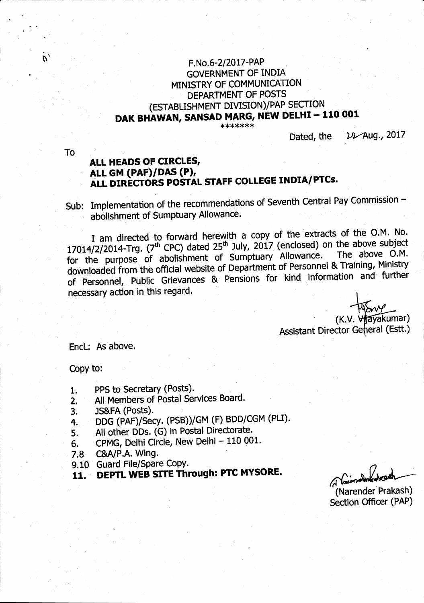# F.No.6-2/2017-PAP **GOVERNMENT OF INDIA** MINISTRY OF COMMUNICATION DEPARTMENT OF POSTS (ESTABLISHMENT DIVISION)/PAP SECTION DAK BHAWAN, SANSAD MARG, NEW DELHI - 110 001

\*\*\*\*\*\*\*

D<sub>2</sub>Aug., 2017 Dated, the

**To** 

## ALL HEADS OF CIRCLES, ALL GM (PAF)/DAS (P), ALL DIRECTORS POSTAL STAFF COLLEGE INDIA/PTCs.

Sub: Implementation of the recommendations of Seventh Central Pay Commission abolishment of Sumptuary Allowance.

I am directed to forward herewith a copy of the extracts of the O.M. No. 17014/2/2014-Trg. (7<sup>th</sup> CPC) dated 25<sup>th</sup> July, 2017 (enclosed) on the above subject for the purpose of abolishment of Sumptuary Allowance. The above O.M. downloaded from the official website of Department of Personnel & Training, Ministry of Personnel, Public Grievances & Pensions for kind information and further necessary action in this regard.

(K.V. Vilayakumar) Assistant Director General (Estt.)

Encl: As above.

Copy to:

- PPS to Secretary (Posts).  $1.$
- All Members of Postal Services Board.  $2.$
- JS&FA (Posts). 3.
- DDG (PAF)/Secy. (PSB))/GM (F) BDD/CGM (PLI). 4.
- All other DDs. (G) in Postal Directorate. 5.
- CPMG, Delhi Circle, New Delhi 110 001. 6.
- C&A/P.A. Wing.  $7.8$
- 9.10 Guard File/Spare Copy.
- DEPTL WEB SITE Through: PTC MYSORE. 11.

(Narender Prakash) Section Officer (PAP)